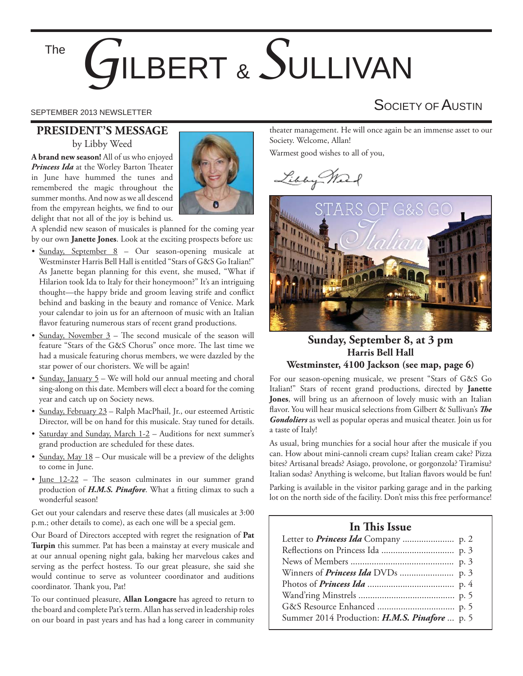#### The

# *G*ILBERT & *S*ULLIVAN

#### **PRESIDENT'S MESSAGE** by Libby Weed

**A brand new season!** All of us who enjoyed *Princess Ida* at the Worley Barton Theater in June have hummed the tunes and remembered the magic throughout the summer months. And now as we all descend from the empyrean heights, we find to our delight that not all of the joy is behind us.



A splendid new season of musicales is planned for the coming year by our own **Janette Jones**. Look at the exciting prospects before us:

- Sunday, September 8 Our season-opening musicale at Westminster Harris Bell Hall is entitled "Stars of G&S Go Italian!" As Janette began planning for this event, she mused, "What if Hilarion took Ida to Italy for their honeymoon?" It's an intriguing thought—the happy bride and groom leaving strife and conflict behind and basking in the beauty and romance of Venice. Mark your calendar to join us for an afternoon of music with an Italian flavor featuring numerous stars of recent grand productions.
- Sunday, November  $3$  The second musicale of the season will feature "Stars of the G&S Chorus" once more. The last time we had a musicale featuring chorus members, we were dazzled by the star power of our choristers. We will be again!
- Sunday, January 5 We will hold our annual meeting and choral sing-along on this date. Members will elect a board for the coming year and catch up on Society news.
- Sunday, February 23 Ralph MacPhail, Jr., our esteemed Artistic Director, will be on hand for this musicale. Stay tuned for details.
- Saturday and Sunday, March 1-2 Auditions for next summer's grand production are scheduled for these dates.
- Sunday, May 18 Our musicale will be a preview of the delights to come in June.
- June  $12-22$  The season culminates in our summer grand production of *H.M.S. Pinafore*. What a fitting climax to such a wonderful season!

Get out your calendars and reserve these dates (all musicales at 3:00 p.m.; other details to come), as each one will be a special gem.

Our Board of Directors accepted with regret the resignation of **Pat Turpin** this summer. Pat has been a mainstay at every musicale and at our annual opening night gala, baking her marvelous cakes and serving as the perfect hostess. To our great pleasure, she said she would continue to serve as volunteer coordinator and auditions coordinator. Thank you, Pat!

To our continued pleasure, **Allan Longacre** has agreed to return to the board and complete Pat's term. Allan has served in leadership roles on our board in past years and has had a long career in community

### SEPTEMBER 2013 NEWSLETTER SEPTEMBER 2013 NEWSLETTER

theater management. He will once again be an immense asset to our Society. Welcome, Allan!

Warmest good wishes to all of you,

Libby Mark



#### **Sunday, September 8, at 3 pm Harris Bell Hall Westminster, 4100 Jackson (see map, page 6)**

For our season-opening musicale, we present "Stars of G&S Go Italian!" Stars of recent grand productions, directed by **Janette Jones**, will bring us an afternoon of lovely music with an Italian flavor. You will hear musical selections from Gilbert & Sullivan's The *Gondoliers* as well as popular operas and musical theater. Join us for a taste of Italy!

As usual, bring munchies for a social hour after the musicale if you can. How about mini-cannoli cream cups? Italian cream cake? Pizza bites? Artisanal breads? Asiago, provolone, or gorgonzola? Tiramisu? Italian sodas? Anything is welcome, but Italian flavors would be fun!

Parking is available in the visitor parking garage and in the parking lot on the north side of the facility. Don't miss this free performance!

#### **In This Issue**

| Summer 2014 Production: H.M.S. Pinafore  p. 5 |  |
|-----------------------------------------------|--|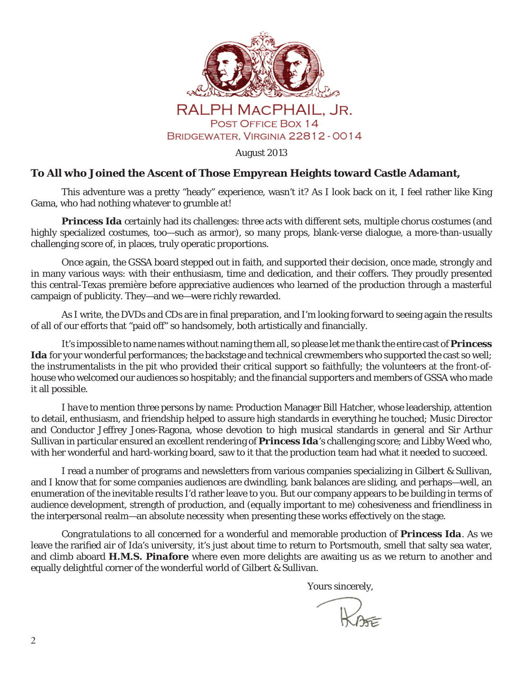

August 2013

#### **To All who Joined the Ascent of Those Empyrean Heights toward Castle Adamant,**

 This adventure was a pretty "heady" experience, wasn't it? As I look back on it, I feel rather like King Gama, who had nothing whatever to grumble at!

*Princess Ida* certainly had its challenges: three acts with different sets, multiple chorus costumes (and highly specialized costumes, too—such as armor), so many props, blank-verse dialogue, a more-than-usually challenging score of, in places, truly operatic proportions.

 Once again, the GSSA board stepped out in faith, and supported their decision, once made, strongly and in many various ways: with their enthusiasm, time and dedication, and their coffers. They proudly presented this central-Texas première before appreciative audiences who learned of the production through a masterful campaign of publicity. They—and we—were richly rewarded.

As I write, the DVDs and CDs are in final preparation, and I'm looking forward to seeing again the results of all of our efforts that "paid off" so handsomely, both artistically and financially.

 It's impossible to name names without naming them all, so please let me thank the entire cast of *Princess Ida* for your wonderful performances; the backstage and technical crewmembers who supported the cast so well; the instrumentalists in the pit who provided their critical support so faithfully; the volunteers at the front-ofhouse who welcomed our audiences so hospitably; and the financial supporters and members of GSSA who made it all possible.

 I *have* to mention three persons by name: Production Manager Bill Hatcher, whose leadership, attention to detail, enthusiasm, and friendship helped to assure high standards in everything he touched; Music Director and Conductor Jeffrey Jones-Ragona, whose devotion to high musical standards in general and Sir Arthur Sullivan in particular ensured an excellent rendering of *Princess Ida*'s challenging score; and Libby Weed who, with her wonderful and hard-working board, saw to it that the production team had what it needed to succeed.

 I read a number of programs and newsletters from various companies specializing in Gilbert & Sullivan, and I know that for some companies audiences are dwindling, bank balances are sliding, and perhaps—well, an enumeration of the inevitable results I'd rather leave to *you*. But our company appears to be building in terms of audience development, strength of production, and (equally important to *me*) cohesiveness and friendliness in the interpersonal realm—an absolute *necessity* when presenting these works effectively on the stage.

*Congratulations* to all concerned for a wonderful and memorable production of *Princess Ida*. As we leave the rarified air of Ida's university, it's just about time to return to Portsmouth, smell that salty sea water, and climb aboard *H.M.S. Pinafore* where even more delights are awaiting us as we return to another and equally delightful corner of the wonderful world of Gilbert & Sullivan.

Yours sincerely,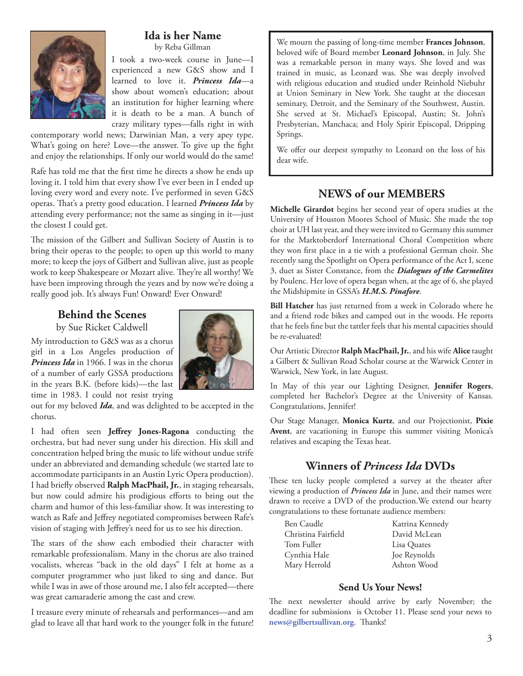

#### **Ida is her Name** by Reba Gillman

I took a two-week course in June—I experienced a new G&S show and I learned to love it. *Princess Ida*—a show about women's education; about an institution for higher learning where it is death to be a man. A bunch of crazy military types—falls right in with

contemporary world news; Darwinian Man, a very apey type. What's going on here? Love—the answer. To give up the fight and enjoy the relationships. If only our world would do the same!

Rafe has told me that the first time he directs a show he ends up loving it. I told him that every show I've ever been in I ended up loving every word and every note. I've performed in seven G&S operas. That's a pretty good education. I learned *Princess Ida* by attending every performance; not the same as singing in it—just the closest I could get.

The mission of the Gilbert and Sullivan Society of Austin is to bring their operas to the people; to open up this world to many more; to keep the joys of Gilbert and Sullivan alive, just as people work to keep Shakespeare or Mozart alive. They're all worthy! We have been improving through the years and by now we're doing a really good job. It's always Fun! Onward! Ever Onward!

#### **Behind the Scenes**

by Sue Ricket Caldwell

My introduction to G&S was as a chorus girl in a Los Angeles production of *Princess Ida* in 1966. I was in the chorus of a number of early GSSA productions in the years B.K. (before kids)—the last time in 1983. I could not resist trying



out for my beloved *Ida*, and was delighted to be accepted in the chorus.

I had often seen Jeffrey Jones-Ragona conducting the orchestra, but had never sung under his direction. His skill and concentration helped bring the music to life without undue strife under an abbreviated and demanding schedule (we started late to accommodate participants in an Austin Lyric Opera production). I had briefly observed Ralph MacPhail, Jr., in staging rehearsals, but now could admire his prodigious efforts to bring out the charm and humor of this less-familiar show. It was interesting to watch as Rafe and Jeffrey negotiated compromises between Rafe's vision of staging with Jeffrey's need for us to see his direction.

The stars of the show each embodied their character with remarkable professionalism. Many in the chorus are also trained vocalists, whereas "back in the old days" I felt at home as a computer programmer who just liked to sing and dance. But while I was in awe of those around me, I also felt accepted—there was great camaraderie among the cast and crew.

I treasure every minute of rehearsals and performances—and am glad to leave all that hard work to the younger folk in the future! We mourn the passing of long-time member **Frances Johnson**, beloved wife of Board member **Leonard Johnson**, in July. She was a remarkable person in many ways. She loved and was trained in music, as Leonard was. She was deeply involved with religious education and studied under Reinhold Niebuhr at Union Seminary in New York. She taught at the diocesan seminary, Detroit, and the Seminary of the Southwest, Austin. She served at St. Michael's Episcopal, Austin; St. John's Presbyterian, Manchaca; and Holy Spirit Episcopal, Dripping Springs.

We offer our deepest sympathy to Leonard on the loss of his dear wife.

#### **NEWS of our MEMBERS**

**Michelle Girardot** begins her second year of opera studies at the University of Houston Moores School of Music. She made the top choir at UH last year, and they were invited to Germany this summer for the Marktoberdorf International Choral Competition where they won first place in a tie with a professional German choir. She recently sang the Spotlight on Opera performance of the Act I, scene 3, duet as Sister Constance, from the *Dialogues of the Carmelites* by Poulenc. Her love of opera began when, at the age of 6, she played the Midshipmite in GSSA's *H.M.S. Pinafore*.

**Bill Hatcher** has just returned from a week in Colorado where he and a friend rode bikes and camped out in the woods. He reports that he feels fine but the tattler feels that his mental capacities should be re-evaluated!

Our Artistic Director **Ralph MacPhail, Jr.**, and his wife **Alice** taught a Gilbert & Sullivan Road Scholar course at the Warwick Center in Warwick, New York, in late August.

In May of this year our Lighting Designer, **Jennifer Rogers**, completed her Bachelor's Degree at the University of Kansas. Congratulations, Jennifer!

Our Stage Manager, **Monica Kurtz**, and our Projectionist, **Pixie Avent**, are vacationing in Europe this summer visiting Monica's relatives and escaping the Texas heat.

#### **Winners of** *Princess Ida* **DVDs**

These ten lucky people completed a survey at the theater after viewing a production of *Princess Ida* in June, and their names were drawn to receive a DVD of the production.We extend our hearty congratulations to these fortunate audience members:

| Ben Caudle          | Katrina Kennedy |
|---------------------|-----------------|
| Christina Fairfield | David McLean    |
| Tom Fuller          | Lisa Quates     |
| Cynthia Hale        | Joe Reynolds    |
| Mary Herrold        | Ashton Wood     |

#### **Send Us Your News!**

The next newsletter should arrive by early November; the deadline for submissions is October 11. Please send your news to news@gilbertsullivan.org. Thanks!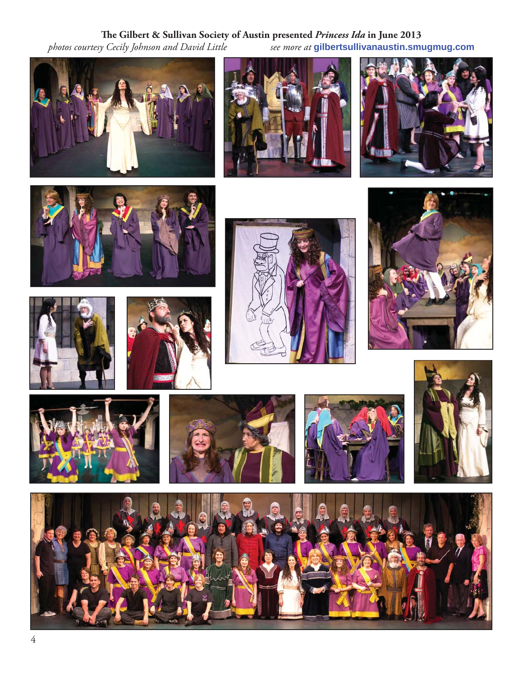## **The Gilbert & Sullivan Society of Austin presented** *Princess Ida* **in June 2013**<br>*photos courtesy Cecily Johnson and David Little see more at* gilbert sullivanaustin.smu

*photos courtesy Cecily Johnson and David Little see more at* **gilbertsullivanaustin.smugmug.com**



















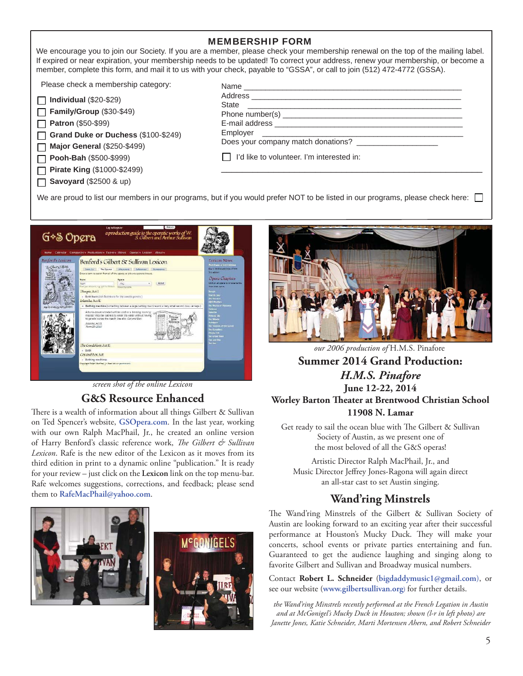#### MEMBERSHIP FORM

We encourage you to join our Society. If you are a member, please check your membership renewal on the top of the mailing label. If expired or near expiration, your membership needs to be updated! To correct your address, renew your membership, or become a member, complete this form, and mail it to us with your check, payable to "GSSA", or call to join (512) 472-4772 (GSSA).

Please check a membership category:

| $\Box$ Individual (\$20-\$29)       |
|-------------------------------------|
| Family/Group (\$30-\$49)            |
| <b>Patron</b> (\$50-\$99)           |
| $\Box$ Crond Duke or Duckees (C100) |

**Grand Duke or Duchess** (\$100-\$249)

**Major General** (\$250-\$499) П **Pooh-Bah** (\$500-\$999)

 $\Box$ **Pirate King** (\$1000-\$2499)

**Savoyard** (\$2500 & up)

| State<br><u> 1989 - John Stein, Amerikaansk kanton en beskriuwer om de foarmen oan de foarmen om de foarmen om de foarmen</u> |  |
|-------------------------------------------------------------------------------------------------------------------------------|--|
|                                                                                                                               |  |
|                                                                                                                               |  |
|                                                                                                                               |  |
| Does your company match donations?                                                                                            |  |
| I   I'd like to volunteer. I'm interested in:                                                                                 |  |
|                                                                                                                               |  |

We are proud to list our members in our programs, but if you would prefer NOT to be listed in our programs, please check here:



*screen shot of the online Lexicon*

#### **G&S Resource Enhanced**

There is a wealth of information about all things Gilbert & Sullivan on Ted Spencer's website, **GSOpera.com**. In the last year, working with our own Ralph MacPhail, Jr., he created an online version of Harry Benford's classic reference work, *The Gilbert & Sullivan Lexicon*. Rafe is the new editor of the Lexicon as it moves from its third edition in print to a dynamic online "publication." It is ready for your review – just click on the **Lexicon** link on the top menu-bar. Rafe welcomes suggestions, corrections, and feedback; please send them to **RafeMacPhail@yahoo.com**.







*our 2006 production of* H.M.S. Pinafore

#### **Summer 2014 Grand Production:** *H.M.S. Pinafore* **June 12-22, 2014 Worley Barton Theater at Brentwood Christian School 11908 N. Lamar**

Get ready to sail the ocean blue with The Gilbert & Sullivan Society of Austin, as we present one of the most beloved of all the G&S operas!

Artistic Director Ralph MacPhail, Jr., and Music Director Jeffrey Jones-Ragona will again direct an all-star cast to set Austin singing.

#### **Wand'ring Minstrels**

The Wand'ring Minstrels of the Gilbert & Sullivan Society of Austin are looking forward to an exciting year after their successful performance at Houston's Mucky Duck. They will make your concerts, school events or private parties entertaining and fun. Guaranteed to get the audience laughing and singing along to favorite Gilbert and Sullivan and Broadway musical numbers.

Contact **Robert L. Schneider** (**bigdaddymusic1@gmail.com**), or see our website (**www.gilbertsullivan.org**) for further details.

*the Wand'ring Minstrels recently performed at the French Legation in Austin and at McGonigel's Mucky Duck in Houston; shown (l-r in left photo) are Janette Jones, Katie Schneider, Marti Mortensen Ahern, and Robert Schneider*